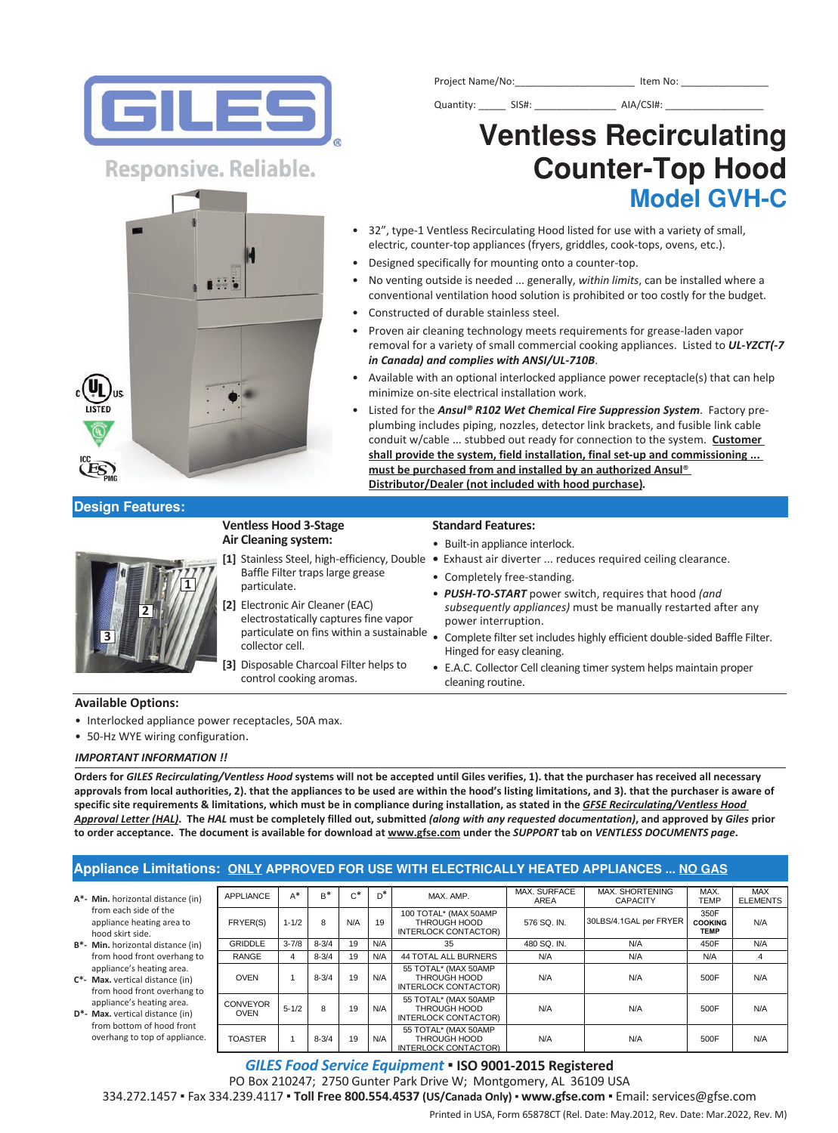

Project Name/No:\_\_\_\_\_\_\_\_\_\_\_\_\_\_\_\_\_\_\_\_\_\_\_\_\_\_\_\_\_\_ Item No: \_

Quantity: \_\_\_\_\_\_\_\_ SIS#: \_\_\_\_\_\_\_\_\_\_\_\_\_\_\_\_\_\_\_\_\_\_\_ AIA/CSI#: \_

# **Counter−Top Hood Model GVH−C**

# **Ventless Recirculating**

- 32", type-1 Ventless Recirculating Hood listed for use with a variety of small, electric, counter-top appliances (fryers, griddles, cook-tops, ovens, etc.).
- Designed specifically for mounting onto a counter-top.
- No venting outside is needed ... generally, *within limits*, can be installed where a conventional ventilation hood solution is prohibited or too costly for the budget.
- Constructed of durable stainless steel.
- Proven air cleaning technology meets requirements for grease-laden vapor removal for a variety of small commercial cooking appliances. Listed to *UL‐YZCT(‐7 in Canada) and complies with ANSI/UL‐710B*.
- Available with an optional interlocked appliance power receptacle(s) that can help minimize on-site electrical installation work.
- Listed for the *Ansul® R102 Wet Chemical Fire Suppression System*. Factory preplumbing includes piping, nozzles, detector link brackets, and fusible link cable conduit w/cable ... stubbed out ready for connection to the system. **Customer shall provide the system, field installation, final setup and commissioning ... must be purchased from and installed by an authorized Ansul**® **Distributor/Dealer (not included with hood purchase)***.*

### **Design Features:**

#### **Ventless Hood 3Stage Air Cleaning system:**

- Baffle Filter traps large grease particulate.
- **[2]** Electronic Air Cleaner (EAC) electrostatically captures fine vapor collector cell.
- **[3]** Disposable Charcoal Filter helps to control cooking aromas.

#### **Standard Features:**

- Built-in appliance interlock.
- **[1]** Stainless Steel, highefficiency, Double Exhaust air diverter ... reduces required ceiling clearance.
	- Completely free-standing.
	- *PUSH‐TO‐START* power switch, requires that hood *(and subsequently appliances)* must be manually restarted after any power interruption.
	- particulate on fins within a sustainable . Complete filter set includes highly efficient double-sided Baffle Filter. Hinged for easy cleaning.
		- E.A.C. Collector Cell cleaning timer system helps maintain proper cleaning routine.

#### **Available Options:**

- Interlocked appliance power receptacles, 50A max.
- 50-Hz WYE wiring configuration.

#### *IMPORTANT INFORMATION !!*

**Orders for** *GILES Recirculating/Ventless Hood* **systems will not be accepted until Giles verifies, 1). that the purchaser has received all necessary approvals from local authorities, 2). that the appliances to be used are within the hood's listing limitations, and 3). that the purchaser is aware of specific site requirements & limitations, which must be in compliance during installation, as stated in the** *GFSE Recirculating/Ventless Hood Approval Letter (HAL)***. The** *HAL* **must be completely filled out, submitted** *(along with any requested documentation)***, and approved by** *Giles* **prior to order acceptance. The document is available for download at www.gfse.com under the** *SUPPORT* **tab on** *VENTLESS DOCUMENTS page***.**

## **Appliance Limitations: ONLY APPROVED FOR USE WITH ELECTRICALLY HEATED APPLIANCES ... NO GAS**

- **A\* Min.** horizontal distance (in) from each side of the appliance heating area to hood skirt side.
- **B<sup>\*</sup> Min.** horizontal distance (in) from hood front overhang to appliance's heating area.
- **C\* Max.** vertical distance (in) from hood front overhang to
- appliance's heating area. **D\*-** Max. vertical distance (in) from bottom of hood front overhang to top of appliance.

| APPLIANCE                      | $A^*$     | $R^*$     | $c^*$ | $D^*$ | MAX. AMP.                                                     | MAX. SURFACE<br><b>AREA</b> | MAX. SHORTENING<br><b>CAPACITY</b> | MAX.<br><b>TEMP</b>                   | MAX<br><b>ELEMENTS</b> |
|--------------------------------|-----------|-----------|-------|-------|---------------------------------------------------------------|-----------------------------|------------------------------------|---------------------------------------|------------------------|
| FRYER(S)                       | $1 - 1/2$ | 8         | N/A   | 19    | 100 TOTAL* (MAX 50AMP<br>THROUGH HOOD<br>INTERLOCK CONTACTOR) | 576 SQ. IN.                 | 30LBS/4.1GAL per FRYER             | 350F<br><b>COOKING</b><br><b>TEMP</b> | N/A                    |
| <b>GRIDDLE</b>                 | $3 - 7/8$ | $8 - 3/4$ | 19    | N/A   | 35                                                            | 480 SQ. IN.                 | N/A                                | 450F                                  | N/A                    |
| <b>RANGE</b>                   | 4         | $8 - 3/4$ | 19    | N/A   | <b>44 TOTAL ALL BURNERS</b>                                   | N/A                         | N/A                                | N/A                                   | 4                      |
| <b>OVEN</b>                    |           | $8 - 3/4$ | 19    | N/A   | 55 TOTAL* (MAX 50AMP<br>THROUGH HOOD<br>INTERLOCK CONTACTOR)  | N/A                         | N/A                                | 500F                                  | N/A                    |
| <b>CONVEYOR</b><br><b>OVEN</b> | $5 - 1/2$ | 8         | 19    | N/A   | 55 TOTAL* (MAX 50AMP<br>THROUGH HOOD<br>INTERLOCK CONTACTOR)  | N/A                         | N/A                                | 500F                                  | N/A                    |
| <b>TOASTER</b>                 | 1         | $8 - 3/4$ | 19    | N/A   | 55 TOTAL* (MAX 50AMP<br>THROUGH HOOD<br>INTERLOCK CONTACTOR)  | N/A                         | N/A                                | 500F                                  | N/A                    |

Printed in USA, Form 65878CT (Rel. Date: May.2012, Rev. Date: Mar.2022, Rev. M) *GILES Food Service Equipment* ▪ **ISO 90012015 Registered**  PO Box 210247; 2750 Gunter Park Drive W; Montgomery, AL 36109 USA 334.272.1457 ▪ Fax 334.239.4117 ▪ **Toll Free 800.554.4537 (US/Canada Only)** ▪ **www.gfse.com** ▪ Email: services@gfse.com